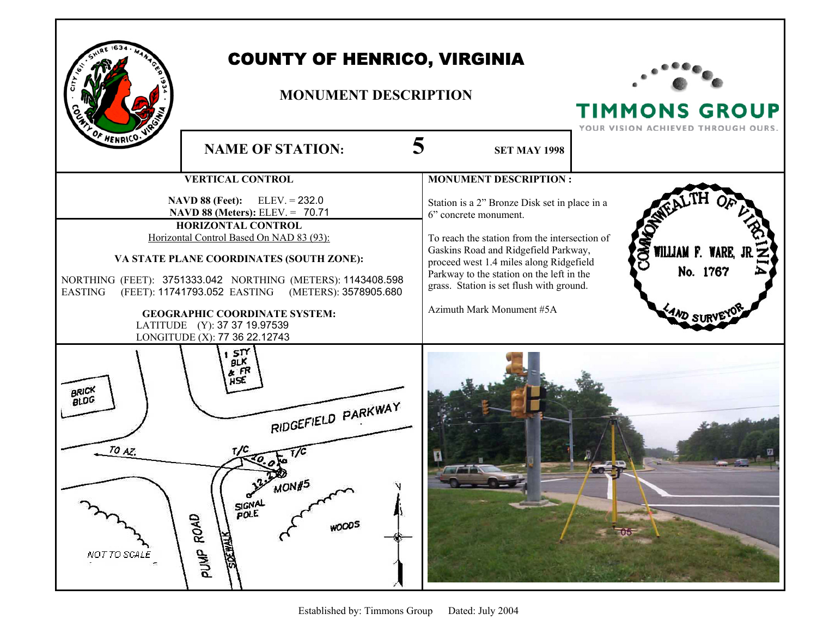